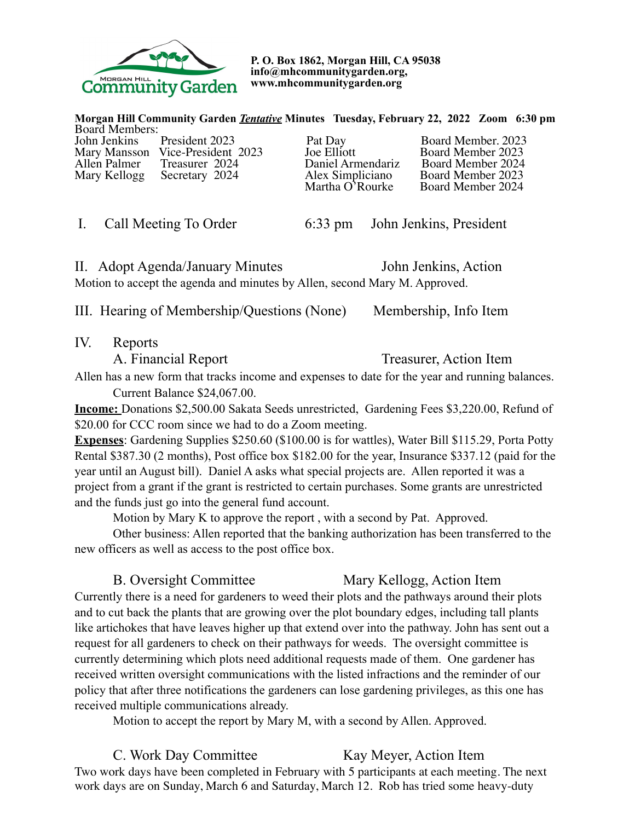

**P. O. Box 1862, Morgan Hill, CA 95038 info@mhcommunitygarden.org, www.mhcommunitygarden.org** 

**Morgan Hill Community Garden** *Tentative* **Minutes Tuesday, February 22, 2022 Zoom 6:30 pm**  Board Members:<br>John Jenkins President 2023

Mary Mansson Vice-President 2023 Joe Elliott Board Member 2023<br>Allen Palmer Treasurer 2024 Daniel Armendariz Board Member 2024 Allen Palmer Treasurer 2024 Daniel Armendariz Board Member 2024 Mary Kellogg Secretary 2024 Alex Simpliciano Board Member 2023

Pat Day Board Member. 2023<br>Joe Elliott Board Member 2023 Martha O'Rourke Board Member 2024

I. Call Meeting To Order 6:33 pm John Jenkins, President

II. Adopt Agenda/January Minutes John Jenkins, Action Motion to accept the agenda and minutes by Allen, second Mary M. Approved.

III. Hearing of Membership/Questions (None) Membership, Info Item

IV. Reports

A. Financial Report Treasurer, Action Item

Allen has a new form that tracks income and expenses to date for the year and running balances. Current Balance \$24,067.00.

**Income:** Donations \$2,500.00 Sakata Seeds unrestricted, Gardening Fees \$3,220.00, Refund of \$20.00 for CCC room since we had to do a Zoom meeting.

**Expenses**: Gardening Supplies \$250.60 (\$100.00 is for wattles), Water Bill \$115.29, Porta Potty Rental \$387.30 (2 months), Post office box \$182.00 for the year, Insurance \$337.12 (paid for the year until an August bill). Daniel A asks what special projects are. Allen reported it was a project from a grant if the grant is restricted to certain purchases. Some grants are unrestricted and the funds just go into the general fund account.

Motion by Mary K to approve the report , with a second by Pat. Approved.

Other business: Allen reported that the banking authorization has been transferred to the new officers as well as access to the post office box.

# B. Oversight Committee Mary Kellogg, Action Item

Currently there is a need for gardeners to weed their plots and the pathways around their plots and to cut back the plants that are growing over the plot boundary edges, including tall plants like artichokes that have leaves higher up that extend over into the pathway. John has sent out a request for all gardeners to check on their pathways for weeds. The oversight committee is currently determining which plots need additional requests made of them. One gardener has received written oversight communications with the listed infractions and the reminder of our policy that after three notifications the gardeners can lose gardening privileges, as this one has received multiple communications already.

Motion to accept the report by Mary M, with a second by Allen. Approved.

C. Work Day Committee Kay Meyer, Action Item Two work days have been completed in February with 5 participants at each meeting. The next work days are on Sunday, March 6 and Saturday, March 12. Rob has tried some heavy-duty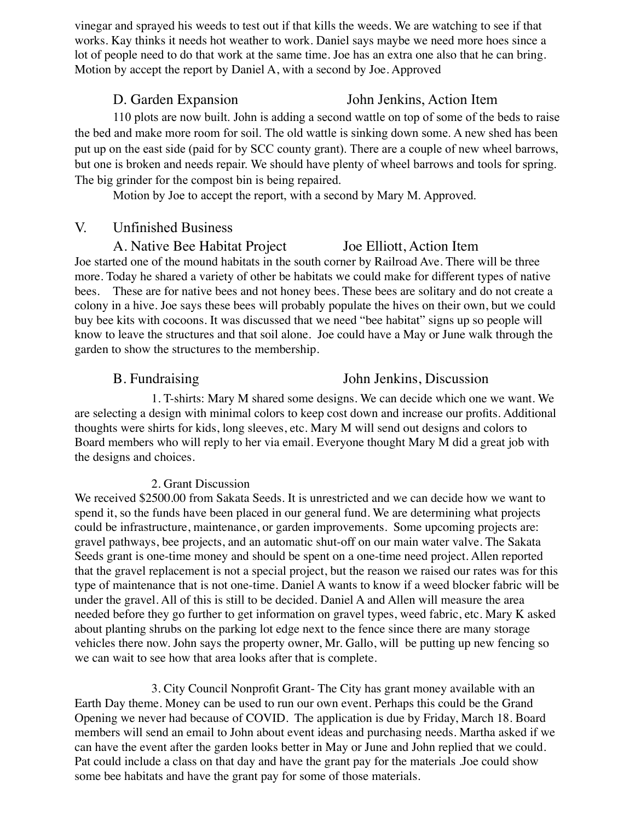vinegar and sprayed his weeds to test out if that kills the weeds. We are watching to see if that works. Kay thinks it needs hot weather to work. Daniel says maybe we need more hoes since a lot of people need to do that work at the same time. Joe has an extra one also that he can bring. Motion by accept the report by Daniel A, with a second by Joe. Approved

# D. Garden Expansion John Jenkins, Action Item

110 plots are now built. John is adding a second wattle on top of some of the beds to raise the bed and make more room for soil. The old wattle is sinking down some. A new shed has been put up on the east side (paid for by SCC county grant). There are a couple of new wheel barrows, but one is broken and needs repair. We should have plenty of wheel barrows and tools for spring. The big grinder for the compost bin is being repaired.

Motion by Joe to accept the report, with a second by Mary M. Approved.

### V. Unfinished Business

# A. Native Bee Habitat Project Joe Elliott, Action Item

Joe started one of the mound habitats in the south corner by Railroad Ave. There will be three more. Today he shared a variety of other be habitats we could make for different types of native bees. These are for native bees and not honey bees. These bees are solitary and do not create a colony in a hive. Joe says these bees will probably populate the hives on their own, but we could buy bee kits with cocoons. It was discussed that we need "bee habitat" signs up so people will know to leave the structures and that soil alone. Joe could have a May or June walk through the garden to show the structures to the membership.

### B. Fundraising John Jenkins, Discussion

1. T-shirts: Mary M shared some designs. We can decide which one we want. We are selecting a design with minimal colors to keep cost down and increase our profits. Additional thoughts were shirts for kids, long sleeves, etc. Mary M will send out designs and colors to Board members who will reply to her via email. Everyone thought Mary M did a great job with the designs and choices.

### 2. Grant Discussion

We received \$2500.00 from Sakata Seeds. It is unrestricted and we can decide how we want to spend it, so the funds have been placed in our general fund. We are determining what projects could be infrastructure, maintenance, or garden improvements. Some upcoming projects are: gravel pathways, bee projects, and an automatic shut-off on our main water valve. The Sakata Seeds grant is one-time money and should be spent on a one-time need project. Allen reported that the gravel replacement is not a special project, but the reason we raised our rates was for this type of maintenance that is not one-time. Daniel A wants to know if a weed blocker fabric will be under the gravel. All of this is still to be decided. Daniel A and Allen will measure the area needed before they go further to get information on gravel types, weed fabric, etc. Mary K asked about planting shrubs on the parking lot edge next to the fence since there are many storage vehicles there now. John says the property owner, Mr. Gallo, will be putting up new fencing so we can wait to see how that area looks after that is complete.

3. City Council Nonprofit Grant- The City has grant money available with an Earth Day theme. Money can be used to run our own event. Perhaps this could be the Grand Opening we never had because of COVID. The application is due by Friday, March 18. Board members will send an email to John about event ideas and purchasing needs. Martha asked if we can have the event after the garden looks better in May or June and John replied that we could. Pat could include a class on that day and have the grant pay for the materials .Joe could show some bee habitats and have the grant pay for some of those materials.